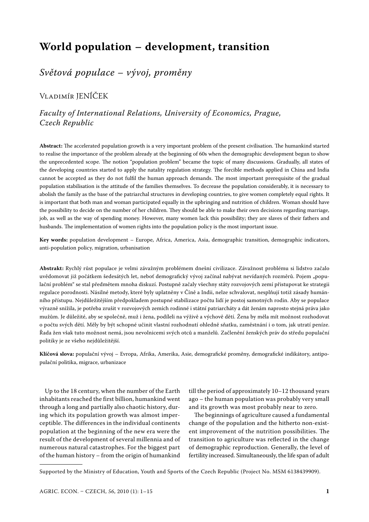# **World population – development, transition**

# *Světová populace – vývoj, proměny*

## Vladimír JENÍČEK

## *Faculty of International Relations, University of Economics, Prague, Czech Republic*

**Abstract:** The accelerated population growth is a very important problem of the present civilisation. The humankind started to realise the importance of the problem already at the beginning of 60s when the demographic development begun to show the unprecedented scope. The notion "population problem" became the topic of many discussions. Gradually, all states of the developing countries started to apply the natality regulation strategy. The forcible methods applied in China and India cannot be accepted as they do not fulfil the human approach demands. The most important prerequisite of the gradual population stabilisation is the attitude of the families themselves. To decrease the population considerably, it is necessary to abolish the family as the base of the patriarchal structures in developing countries, to give women completely equal rights. It is important that both man and woman participated equally in the upbringing and nutrition of children. Woman should have the possibility to decide on the number of her children. They should be able to make their own decisions regarding marriage, job, as well as the way of spending money. However, many women lack this possibility; they are slaves of their fathers and husbands. The implementation of women rights into the population policy is the most important issue.

**Key words:** population development – Europe, Africa, America, Asia, demographic transition, demographic indicators, anti-population policy, migration, urbanisation

**Abstrakt:** Rychlý růst populace je velmi závažným problémem dnešní civilizace. Závažnost problému si lidstvo začalo uvědomovat již počátkem šedesátých let, neboť demografický vývoj začínal nabývat nevídaných rozměrů. Pojem "populační problém" se stal předmětem mnoha diskuzí. Postupně začaly všechny státy rozvojových zemí přistupovat ke strategii regulace porodnosti. Násilné metody, které byly uplatněny v Číně a Indii, nelze schvalovat, nesplňují totiž zásady humánního přístupu. Nejdůležitějším předpokladem postupné stabilizace počtu lidí je postoj samotných rodin. Aby se populace výrazně snížila, je potřeba zrušit v rozvojových zemích rodinné i státní patriarcháty a dát ženám naprosto stejná práva jako mužům. Je důležité, aby se společně, muž i žena, podíleli na výživě a výchově dětí. Žena by měla mít možnost rozhodovat o počtu svých dětí. Měly by být schopné učinit vlastní rozhodnutí ohledně sňatku, zaměstnání i o tom, jak utratí peníze. Řada žen však tuto možnost nemá, jsou nevolnicemi svých otců a manželů. Začlenění ženských práv do středu populační politiky je ze všeho nejdůležitější.

**Klíčová slova:** populační vývoj – Evropa, Afrika, Amerika, Asie, demografické proměny, demografické indikátory, antipopulační politika, migrace, urbanizace

Up to the 18 century, when the number of the Earth inhabitants reached the first billion, humankind went through a long and partially also chaotic history, during which its population growth was almost imperceptible. The differences in the individual continents population at the beginning of the new era were the result of the development of several millennia and of numerous natural catastrophes. For the biggest part of the human history – from the origin of humankind

till the period of approximately 10–12 thousand years ago – the human population was probably very small and its growth was most probably near to zero.

The beginnings of agriculture caused a fundamental change of the population and the hitherto non-existent improvement of the nutrition possibilities. The transition to agriculture was reflected in the change of demographic reproduction. Generally, the level of fertility increased. Simultaneously, the life span of adult

Supported by the Ministry of Education, Youth and Sports of the Czech Republic (Project No. MSM 6138439909).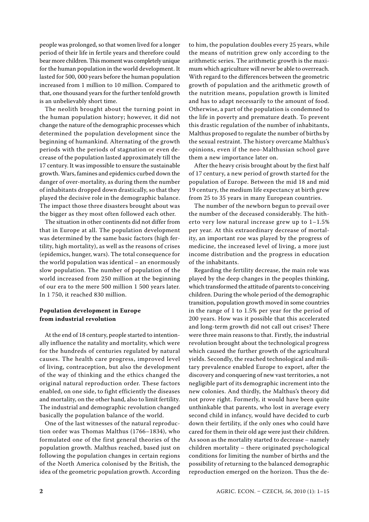people was prolonged, so that women lived for a longer period of their life in fertile years and therefore could bear more children. This moment was completely unique for the human population in the world development. It lasted for 500, 000 years before the human population increased from 1 million to 10 million. Compared to that, one thousand years for the further tenfold growth is an unbelievably short time.

The neolith brought about the turning point in the human population history; however, it did not change the nature of the demographic processes which determined the population development since the beginning of humankind. Alternating of the growth periods with the periods of stagnation or even decrease of the population lasted approximately till the 17 century. It was impossible to ensure the sustainable growth. Wars, famines and epidemics curbed down the danger of over-mortality, as during them the number of inhabitants dropped down drastically, so that they played the decisive role in the demographic balance. The impact those three disasters brought about was the bigger as they most often followed each other.

The situation in other continents did not differ from that in Europe at all. The population development was determined by the same basic factors (high fertility, high mortality), as well as the reasons of crises (epidemics, hunger, wars). The total consequence for the world population was identical – an enormously slow population. The number of population of the world increased from 250 million at the beginning of our era to the mere 500 million 1 500 years later. In 1 750, it reached 830 million.

## **Population development in Europe from industrial revolution**

At the end of 18 century, people started to intentionally influence the natality and mortality, which were for the hundreds of centuries regulated by natural causes. The health care progress, improved level of living, contraception, but also the development of the way of thinking and the ethics changed the original natural reproduction order. These factors enabled, on one side, to fight efficiently the diseases and mortality, on the other hand, also to limit fertility. The industrial and demographic revolution changed basically the population balance of the world.

One of the last witnesses of the natural reproduction order was Thomas Malthus (1766–1834), who formulated one of the first general theories of the population growth. Malthus reached, based just on following the population changes in certain regions of the North America colonised by the British, the idea of the geometric population growth. According

to him, the population doubles every 25 years, while the means of nutrition grew only according to the arithmetic series. The arithmetic growth is the maximum which agriculture will never be able to overreach. With regard to the differences between the geometric growth of population and the arithmetic growth of the nutrition means, population growth is limited and has to adapt necessarily to the amount of food. Otherwise, a part of the population is condemned to the life in poverty and premature death. To prevent this drastic regulation of the number of inhabitants, Malthus proposed to regulate the number of births by the sexual restraint. The history overcame Malthus's opinions, even if the neo-Malthusian school gave them a new importance later on.

After the heavy crisis brought about by the first half of 17 century, a new period of growth started for the population of Europe. Between the mid 18 and mid 19 century, the medium life expectancy at birth grew from 25 to 35 years in many European countries.

The number of the newborn begun to prevail over the number of the deceased considerably. The hitherto very low natural increase grew up to 1–1.5% per year. At this extraordinary decrease of mortality, an important roe was played by the progress of medicine, the increased level of living, a more just income distribution and the progress in education of the inhabitants.

Regarding the fertility decrease, the main role was played by the deep changes in the peoples thinking, which transformed the attitude of parents to conceiving children. During the whole period of the demographic transition, population growth moved in some countries in the range of 1 to 1.5% per year for the period of 200 years. How was it possible that this accelerated and long-term growth did not call out crises? There were three main reasons to that. Firstly, the industrial revolution brought about the technological progress which caused the further growth of the agricultural yields. Secondly, the reached technological and military prevalence enabled Europe to export, after the discovery and conquering of new vast territories, a not negligible part of its demographic increment into the new colonies. And thirdly, the Malthus's theory did not prove right. Formerly, it would have been quite unthinkable that parents, who lost in average every second child in infancy, would have decided to curb down their fertility, if the only ones who could have cared for them in their old age were just their children. As soon as the mortality started to decrease – namely children mortality – there originated psychological conditions for limiting the number of births and the possibility of returning to the balanced demographic reproduction emerged on the horizon. Thus the de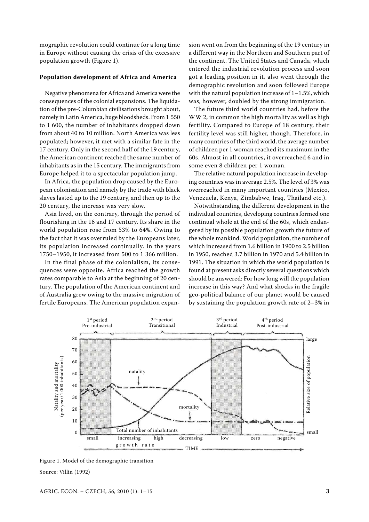mographic revolution could continue for a long time in Europe without causing the crisis of the excessive population growth (Figure 1).

#### **Population development of Africa and America**

Negative phenomena for Africa and America were the consequences of the colonial expansions. The liquidation of the pre-Columbian civilisations brought about, namely in Latin America, huge bloodsheds. From 1 550 to 1 600, the number of inhabitants dropped down from about 40 to 10 million. North America was less populated; however, it met with a similar fate in the 17 century. Only in the second half of the 19 century, the American continent reached the same number of inhabitants as in the 15 century. The immigrants from Europe helped it to a spectacular population jump.

In Africa, the population drop caused by the European colonisation and namely by the trade with black slaves lasted up to the 19 century, and then up to the 20 century, the increase was very slow.

Asia lived, on the contrary, through the period of flourishing in the 16 and 17 century. Its share in the world population rose from 53% to 64%. Owing to the fact that it was overruled by the Europeans later, its population increased continually. In the years 1750–1950, it increased from 500 to 1 366 million.

In the final phase of the colonialism, its consequences were opposite. Africa reached the growth rates comparable to Asia at the beginning of 20 century. The population of the American continent and of Australia grew owing to the massive migration of fertile Europeans. The American population expan-

sion went on from the beginning of the 19 century in a different way in the Northern and Southern part of the continent. The United States and Canada, which entered the industrial revolution process and soon got a leading position in it, also went through the demographic revolution and soon followed Europe with the natural population increase of 1–1.5%, which was, however, doubled by the strong immigration.

The future third world countries had, before the WW 2, in common the high mortality as well as high fertility. Compared to Europe of 18 century, their fertility level was still higher, though. Therefore, in many countries of the third world, the average number of children per 1 woman reached its maximum in the 60s. Almost in all countries, it overreached 6 and in some even 8 children per 1 woman.

The relative natural population increase in developing countries was in average 2.5%. The level of 3% was overreached in many important countries (Mexico, Venezuela, Kenya, Zimbabwe, Iraq, Thailand etc.).

Notwithstanding the different development in the individual countries, developing countries formed one continual whole at the end of the 60s, which endangered by its possible population growth the future of the whole mankind. World population, the number of which increased from 1.6 billion in 1900 to 2.5 billion in 1950, reached 3.7 billion in 1970 and 5.4 billion in 1991. The situation in which the world population is found at present asks directly several questions which should be answered: For how long will the population increase in this way? And what shocks in the fragile geo-political balance of our planet would be caused by sustaining the population growth rate of 2–3% in



Figure 1. Model of the demographic transition Source: Villin (1992)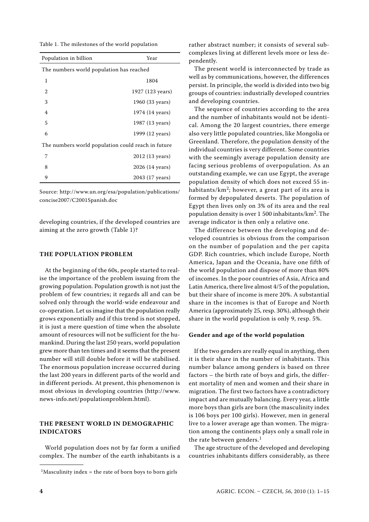Table 1. The milestones of the world population

| Population in billion                              | Year             |  |  |  |
|----------------------------------------------------|------------------|--|--|--|
| The numbers world population has reached           |                  |  |  |  |
| 1                                                  | 1804             |  |  |  |
| 2                                                  | 1927 (123 years) |  |  |  |
| 3                                                  | 1960 (33 years)  |  |  |  |
| 4                                                  | 1974 (14 years)  |  |  |  |
| 5                                                  | 1987 (13 years)  |  |  |  |
| 6                                                  | 1999 (12 years)  |  |  |  |
| The numbers world population could reach in future |                  |  |  |  |
| 7                                                  | 2012 (13 years)  |  |  |  |
| 8                                                  | 2026 (14 years)  |  |  |  |
| 9                                                  | 2043 (17 years)  |  |  |  |

Source: http://www.un.org/esa/population/publications/ concise2007/C2001Spanish.doc

developing countries, if the developed countries are aiming at the zero growth (Table 1)?

## **The population problem**

At the beginning of the 60s, people started to realise the importance of the problem issuing from the growing population. Population growth is not just the problem of few countries; it regards all and can be solved only through the world-wide endeavour and co-operation. Let us imagine that the population really grows exponentially and if this trend is not stopped, it is just a mere question of time when the absolute amount of resources will not be sufficient for the humankind. During the last 250 years, world population grew more than ten times and it seems that the present number will still double before it will be stabilised. The enormous population increase occurred during the last 200 years in different parts of the world and in different periods. At present, this phenomenon is most obvious in developing countries (http://www. news-info.net/populationproblem.html).

## **The present world in demographic indicators**

World population does not by far form a unified complex. The number of the earth inhabitants is a rather abstract number; it consists of several subcomplexes living at different levels more or less dependently.

The present world is interconnected by trade as well as by communications, however, the differences persist. In principle, the world is divided into two big groups of countries: industrially developed countries and developing countries.

The sequence of countries according to the area and the number of inhabitants would not be identical. Among the 20 largest countries, there emerge also very little populated countries, like Mongolia or Greenland. Therefore, the population density of the individual countries is very different. Some countries with the seemingly average population density are facing serious problems of overpopulation. As an outstanding example, we can use Egypt, the average population density of which does not exceed 55 inhabitants/km2; however, a great part of its area is formed by depopulated deserts. The population of Egypt then lives only on 3% of its area and the real population density is over 1 500 inhabitants/km2. The average indicator is then only a relative one.

The difference between the developing and developed countries is obvious from the comparison on the number of population and the per capita GDP. Rich countries, which include Europe, North America, Japan and the Oceania, have one fifth of the world population and dispose of more than 80% of incomes. In the poor countries of Asia, Africa and Latin America, there live almost 4/5 of the population, but their share of income is mere 20%. A substantial share in the incomes is that of Europe and North America (approximately 25, resp. 30%), although their share in the world population is only 9, resp. 5%.

#### **Gender and age of the world population**

If the two genders are really equal in anything, then it is their share in the number of inhabitants. This number balance among genders is based on three factors – the birth rate of boys and girls, the different mortality of men and women and their share in migration. The first two factors have a contradictory impact and are mutually balancing. Every year, a little more boys than girls are born (the masculinity index is 106 boys per 100 girls). However, men in general live to a lower average age than women. The migration among the continents plays only a small role in the rate between genders.<sup>1</sup>

The age structure of the developed and developing countries inhabitants differs considerably, as there

<sup>&</sup>lt;sup>1</sup>Masculinity index = the rate of born boys to born girls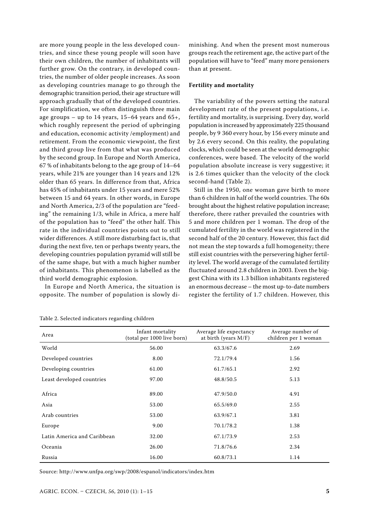are more young people in the less developed countries, and since these young people will soon have their own children, the number of inhabitants will further grow. On the contrary, in developed countries, the number of older people increases. As soon as developing countries manage to go through the demographic transition period, their age structure will approach gradually that of the developed countries. For simplification, we often distinguish three main age groups – up to 14 years, 15–64 years and 65+, which roughly represent the period of upbringing and education, economic activity /employment) and retirement. From the economic viewpoint, the first and third group live from that what was produced by the second group. In Europe and North America, 67 % of inhabitants belong to the age group of 14–64 years, while 21% are younger than 14 years and 12% older than 65 years. In difference from that, Africa has 45% of inhabitants under 15 years and mere 52% between 15 and 64 years. In other words, in Europe and North America, 2/3 of the population are "feeding" the remaining 1/3, while in Africa, a mere half of the population has to "feed" the other half. This rate in the individual countries points out to still wider differences. A still more disturbing fact is, that during the next five, ten or perhaps twenty years, the developing countries population pyramid will still be of the same shape, but with a much higher number of inhabitants. This phenomenon is labelled as the third world demographic explosion.

In Europe and North America, the situation is opposite. The number of population is slowly diminishing. And when the present most numerous groups reach the retirement age, the active part of the population will have to "feed" many more pensioners than at present.

#### **Fertility and mortality**

The variability of the powers setting the natural development rate of the present populations, i.e. fertility and mortality, is surprising. Every day, world population is increased by approximately 225 thousand people, by 9 360 every hour, by 156 every minute and by 2.6 every second. On this reality, the populating clocks, which could be seen at the world demographic conferences, were based. The velocity of the world population absolute increase is very suggestive; it is 2.6 times quicker than the velocity of the clock second-hand (Table 2).

Still in the 1950, one woman gave birth to more than 6 children in half of the world countries. The 60s brought about the highest relative population increase; therefore, there rather prevailed the countries with 5 and more children per 1 woman. The drop of the cumulated fertility in the world was registered in the second half of the 20 century. However, this fact did not mean the step towards a full homogeneity; there still exist countries with the persevering higher fertility level. The world average of the cumulated fertility fluctuated around 2.8 children in 2003. Even the biggest China with its 1.3 billion inhabitants registered an enormous decrease – the most up-to-date numbers register the fertility of 1.7 children. However, this

| Area                        | Infant mortality<br>(total per 1000 live born) | Average life expectancy<br>at birth (years M/F) | Average number of<br>children per 1 woman |
|-----------------------------|------------------------------------------------|-------------------------------------------------|-------------------------------------------|
| World                       | 56.00                                          | 63.3/67.6                                       | 2.69                                      |
| Developed countries         | 8.00                                           | 72.1/79.4                                       | 1.56                                      |
| Developing countries        | 61.00                                          | 61.7/65.1                                       | 2.92                                      |
| Least developed countries   | 97.00                                          | 48.8/50.5                                       | 5.13                                      |
| Africa                      | 89.00                                          | 47.9/50.0                                       | 4.91                                      |
| Asia                        | 53.00                                          | 65.5/69.0                                       | 2.55                                      |
| Arab countries              | 53.00                                          | 63.9/67.1                                       | 3.81                                      |
| Europe                      | 9.00                                           | 70.1/78.2                                       | 1.38                                      |
| Latin America and Caribbean | 32.00                                          | 67.1/73.9                                       | 2.53                                      |
| Oceania                     | 26.00                                          | 71.8/76.6                                       | 2.34                                      |
| Russia                      | 16.00                                          | 60.8/73.1                                       | 1.14                                      |

Table 2. Selected indicators regarding children

Source: http://www.unfpa.org/swp/2008/espanol/indicators/index.htm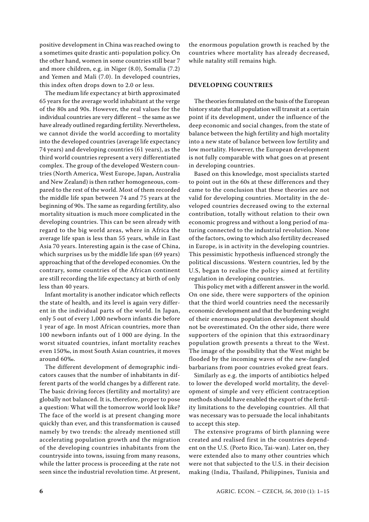positive development in China was reached owing to a sometimes quite drastic anti-population policy. On the other hand, women in some countries still bear 7 and more children, e.g. in Niger (8.0), Somalia (7.2) and Yemen and Mali (7.0). In developed countries, this index often drops down to 2.0 or less.

The medium life expectancy at birth approximated 65 years for the average world inhabitant at the verge of the 80s and 90s. However, the real values for the individual countries are very different – the same as we have already outlined regarding fertility. Nevertheless, we cannot divide the world according to mortality into the developed countries (average life expectancy 74 years) and developing countries (61 years), as the third world countries represent a very differentiated complex. The group of the developed Western countries (North America, West Europe, Japan, Australia and New Zealand) is then rather homogeneous, compared to the rest of the world. Most of them recorded the middle life span between 74 and 75 years at the beginning of 90s. The same as regarding fertility, also mortality situation is much more complicated in the developing countries. This can be seen already with regard to the big world areas, where in Africa the average life span is less than 55 years, while in East Asia 70 years. Interesting again is the case of China, which surprises us by the middle life span (69 years) approaching that of the developed economies. On the contrary, some countries of the African continent are still recording the life expectancy at birth of only less than 40 years.

Infant mortality is another indicator which reflects the state of health, and its level is again very different in the individual parts of the world. In Japan, only 5 out of every 1,000 newborn infants die before 1 year of age. In most African countries, more than 100 newborn infants out of 1 000 are dying. In the worst situated countries, infant mortality reaches even 150‰, in most South Asian countries, it moves around 60‰.

The different development of demographic indicators causes that the number of inhabitants in different parts of the world changes by a different rate. The basic driving forces (fertility and mortality) are globally not balanced. It is, therefore, proper to pose a question: What will the tomorrow world look like? The face of the world is at present changing more quickly than ever, and this transformation is caused namely by two trends: the already mentioned still accelerating population growth and the migration of the developing countries inhabitants from the countryside into towns, issuing from many reasons, while the latter process is proceeding at the rate not seen since the industrial revolution time. At present,

the enormous population growth is reached by the countries where mortality has already decreased, while natality still remains high.

### **Developing countries**

The theories formulated on the basis of the European history state that all population will transit at a certain point if its development, under the influence of the deep economic and social changes, from the state of balance between the high fertility and high mortality into a new state of balance between low fertility and low mortality. However, the European development is not fully comparable with what goes on at present in developing countries.

Based on this knowledge, most specialists started to point out in the 60s at these differences and they came to the conclusion that these theories are not valid for developing countries. Mortality in the developed countries decreased owing to the external contribution, totally without relation to their own economic progress and without a long period of maturing connected to the industrial revolution. None of the factors, owing to which also fertility decreased in Europe, is in activity in the developing countries. This pessimistic hypothesis influenced strongly the political discussions. Western countries, led by the U.S, began to realise the policy aimed at fertility regulation in developing countries.

This policy met with a different answer in the world. On one side, there were supporters of the opinion that the third world countries need the necessarily economic development and that the burdening weight of their enormous population development should not be overestimated. On the other side, there were supporters of the opinion that this extraordinary population growth presents a threat to the West. The image of the possibility that the West might be flooded by the incoming waves of the new-fangled barbarians from poor countries evoked great fears.

Similarly as e.g. the imports of antibiotics helped to lower the developed world mortality, the development of simple and very efficient contraception methods should have enabled the export of the fertility limitations to the developing countries. All that was necessary was to persuade the local inhabitants to accept this step.

The extensive programs of birth planning were created and realised first in the countries dependent on the U.S. (Porto Rico, Tai-wan). Later on, they were extended also to many other countries which were not that subjected to the U.S. in their decision making (India, Thailand, Philippines, Tunisia and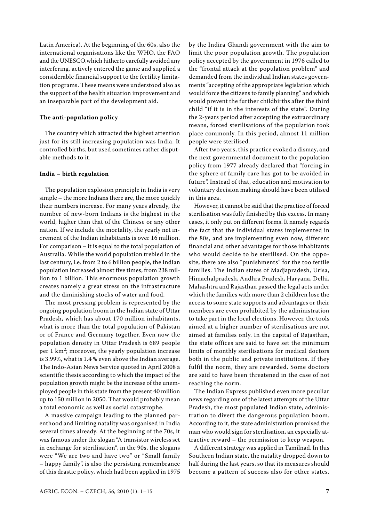Latin America). At the beginning of the 60s, also the international organisations like the WHO, the FAO and the UNESCO,which hitherto carefully avoided any interfering, actively entered the game and supplied a considerable financial support to the fertility limitation programs. These means were understood also as the support of the health situation improvement and an inseparable part of the development aid.

### **The anti-population policy**

The country which attracted the highest attention just for its still increasing population was India. It controlled births, but used sometimes rather disputable methods to it.

#### **India – birth regulation**

The population explosion principle in India is very simple – the more Indians there are, the more quickly their numbers increase. For many years already, the number of new-born Indians is the highest in the world, higher than that of the Chinese or any other nation. If we include the mortality, the yearly net increment of the Indian inhabitants is over 16 million. For comparison – it is equal to the total population of Australia. While the world population trebled in the last century, i.e. from 2 to 6 billion people, the Indian population increased almost five times, from 238 million to 1 billion. This enormous population growth creates namely a great stress on the infrastructure and the diminishing stocks of water and food.

The most pressing problem is represented by the ongoing population boom in the Indian state of Uttar Pradesh, which has about 170 million inhabitants, what is more than the total population of Pakistan or of France and Germany together. Even now the population density in Uttar Pradesh is 689 people per  $1 \text{ km}^2$ ; moreover, the yearly population increase is 3.99%, what is 1.4 % even above the Indian average. The Indo-Asian News Service quoted in April 2008 a scientific thesis according to which the impact of the population growth might be the increase of the unemployed people in this state from the present 40 million up to 150 million in 2050. That would probably mean a total economic as well as social catastrophe.

A massive campaign leading to the planned parenthood and limiting natality was organised in India several times already. At the beginning of the 70s, it was famous under the slogan "A transistor wireless set in exchange for sterilisation", in the 90s, the slogans were "We are two and have two" or "Small family – happy family", is also the persisting remembrance of this drastic policy, which had been applied in 1975 by the Indira Ghandi government with the aim to limit the poor population growth. The population policy accepted by the government in 1976 called to the "frontal attack at the population problem" and demanded from the individual Indian states governments "accepting of the appropriate legislation which would force the citizens to family planning" and which would prevent the further childbirths after the third child "if it is in the interests of the state". During the 2-years period after accepting the extraordinary means, forced sterilisations of the population took place commonly. In this period, almost 11 million people were sterilised.

After two years, this practice evoked a dismay, and the next governmental document to the population policy from 1977 already declared that "forcing in the sphere of family care has got to be avoided in future". Instead of that, education and motivation to voluntary decision making should have been utilised in this area.

However, it cannot be said that the practice of forced sterilisation was fully finished by this excess. In many cases, it only put on different forms. It namely regards the fact that the individual states implemented in the 80s, and are implementing even now, different financial and other advantages for those inhabitants who would decide to be sterilised. On the opposite, there are also "punishments" for the too fertile families. The Indian states of Madjapradesh, Urisa, Himachalpradesh, Andhra Pradesh, Haryana, Delhi, Mahashtra and Rajasthan passed the legal acts under which the families with more than 2 children lose the access to some state supports and advantages or their members are even prohibited by the administration to take part in the local elections. However, the tools aimed at a higher number of sterilisations are not aimed at families only. In the capital of Rajasthan, the state offices are said to have set the minimum limits of monthly sterilisations for medical doctors both in the public and private institutions. If they fulfil the norm, they are rewarded. Some doctors are said to have been threatened in the case of not reaching the norm.

The Indian Express published even more peculiar news regarding one of the latest attempts of the Uttar Pradesh, the most populated Indian state, administration to divert the dangerous population boom. According to it, the state administration promised the man who would sign for sterilisation, an especially attractive reward – the permission to keep weapon.

A different strategy was applied in Tamilnad. In this Southern Indian state, the natality dropped down to half during the last years, so that its measures should become a pattern of success also for other states.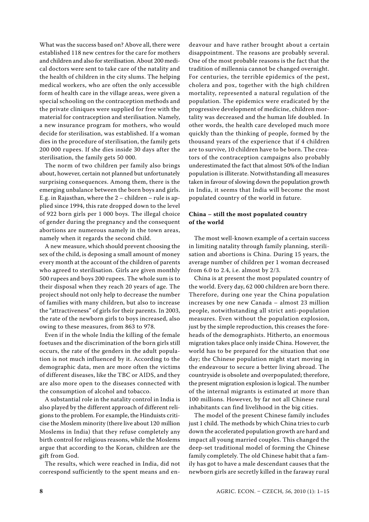What was the success based on? Above all, there were established 118 new centres for the care for mothers and children and also for sterilisation. About 200 medical doctors were sent to take care of the natality and the health of children in the city slums. The helping medical workers, who are often the only accessible form of health care in the village areas, were given a special schooling on the contraception methods and the private cliniques were supplied for free with the material for contraception and sterilisation. Namely, a new insurance program for mothers, who would decide for sterilisation, was established. If a woman dies in the procedure of sterilisation, the family gets 200 000 rupees. If she dies inside 30 days after the sterilisation, the family gets 50 000.

The norm of two children per family also brings about, however, certain not planned but unfortunately surprising consequences. Among them, there is the emerging unbalance between the born boys and girls. E.g. in Rajasthan, where the 2 – children – rule is applied since 1994, this rate dropped down to the level of 922 born girls per 1 000 boys. The illegal choice of gender during the pregnancy and the consequent abortions are numerous namely in the town areas, namely when it regards the second child.

A new measure, which should prevent choosing the sex of the child, is deposing a small amount of money every month at the account of the children of parents who agreed to sterilisation. Girls are given monthly 500 rupees and boys 200 rupees. The whole sum is to their disposal when they reach 20 years of age. The project should not only help to decrease the number of families with many children, but also to increase the "attractiveness" of girls for their parents. In 2003, the rate of the newborn girls to boys increased, also owing to these measures, from 863 to 978.

Even if in the whole India the killing of the female foetuses and the discrimination of the born girls still occurs, the rate of the genders in the adult population is not much influenced by it. According to the demographic data, men are more often the victims of different diseases, like the TBC or AIDS, and they are also more open to the diseases connected with the consumption of alcohol and tobacco.

A substantial role in the natality control in India is also played by the different approach of different religions to the problem. For example, the Hinduists criticise the Moslem minority (there live about 120 million Moslems in India) that they refuse completely any birth control for religious reasons, while the Moslems argue that according to the Koran, children are the gift from God.

The results, which were reached in India, did not correspond sufficiently to the spent means and en-

deavour and have rather brought about a certain disappointment. The reasons are probably several. One of the most probable reasons is the fact that the tradition of millennia cannot be changed overnight. For centuries, the terrible epidemics of the pest, cholera and pox, together with the high children mortality, represented a natural regulation of the population. The epidemics were eradicated by the progressive development of medicine, children mortality was decreased and the human life doubled. In other words, the health care developed much more quickly than the thinking of people, formed by the thousand years of the experience that if 4 children are to survive, 10 children have to be born. The creators of the contraception campaigns also probably underestimated the fact that almost 50% of the Indian population is illiterate. Notwithstanding all measures taken in favour of slowing down the population growth in India, it seems that India will become the most populated country of the world in future.

## **China – still the most populated country of the world**

The most well-known example of a certain success in limiting natality through family planning, sterilisation and abortions is China. During 15 years, the average number of children per 1 woman decreased from 6.0 to 2.4, i.e. almost by 2/3.

China is at present the most populated country of the world. Every day, 62 000 children are born there. Therefore, during one year the China population increases by one new Canada – almost 23 million people, notwithstanding all strict anti-population measures. Even without the population explosion, just by the simple reproduction, this creases the foreheads of the demographists. Hitherto, an enormous migration takes place only inside China. However, the world has to be prepared for the situation that one day; the Chinese population might start moving in the endeavour to secure a better living abroad. The countryside is obsolete and overpopulated; therefore, the present migration explosion is logical. The number of the internal migrants is estimated at more than 100 millions. However, by far not all Chinese rural inhabitants can find livelihood in the big cities.

The model of the present Chinese family includes just 1 child. The methods by which China tries to curb down the accelerated population growth are hard and impact all young married couples. This changed the deep-set traditional model of forming the Chinese family completely. The old Chinese habit that a family has got to have a male descendant causes that the newborn girls are secretly killed in the faraway rural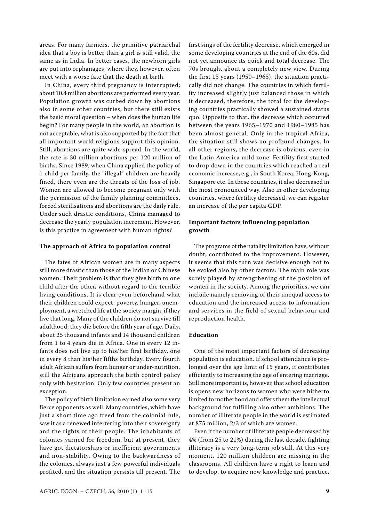areas. For many farmers, the primitive patriarchal idea that a boy is better than a girl is still valid, the same as in India. In better cases, the newborn girls are put into orphanages, where they, however, often meet with a worse fate that the death at birth.

In China, every third pregnancy is interrupted; about 10.4 million abortions are performed every year. Population growth was curbed down by abortions also in some other countries, but there still exists the basic moral question – when does the human life begin? For many people in the world, an abortion is not acceptable, what is also supported by the fact that all important world religions support this opinion. Still, abortions are quite wide-spread. In the world, the rate is 30 million abortions per 120 million of births. Since 1989, when China applied the policy of 1 child per family, the "illegal" children are heavily fined, there even are the threats of the loss of job. Women are allowed to become pregnant only with the permission of the family planning committees, forced sterilisations and abortions are the daily rule. Under such drastic conditions, China managed to decrease the yearly population increment. However, is this practice in agreement with human rights?

#### **The approach of Africa to population control**

The fates of African women are in many aspects still more drastic than those of the Indian or Chinese women. Their problem is that they give birth to one child after the other, without regard to the terrible living conditions. It is clear even beforehand what their children could expect: poverty, hunger, unemployment, a wretched life at the society margin, if they live that long. Many of the children do not survive till adulthood; they die before the fifth year of age. Daily, about 25 thousand infants and 14 thousand children from 1 to 4 years die in Africa. One in every 12 infants does not live up to his/her first birthday, one in every 8 than his/her fifths birthday. Every fourth adult African suffers from hunger or under-nutrition, still the Africans approach the birth control policy only with hesitation. Only few countries present an exception.

The policy of birth limitation earned also some very fierce opponents as well. Many countries, which have just a short time ago freed from the colonial rule, saw it as a renewed interfering into their sovereignty and the rights of their people. The inhabitants of colonies yarned for freedom, but at present, they have got dictatorships or inefficient governments and non-stability. Owing to the backwardness of the colonies, always just a few powerful individuals profited, and the situation persists till present. The

first sings of the fertility decrease, which emerged in some developing countries at the end of the 60s, did not yet announce its quick and total decrease. The 70s brought about a completely new view. During the first 15 years (1950–1965), the situation practically did not change. The countries in which fertility increased slightly just balanced those in which it decreased, therefore, the total for the developing countries practically showed a sustained status quo. Opposite to that, the decrease which occurred between the years 1965–1970 and 1980–1985 has been almost general. Only in the tropical Africa, the situation still shows no profound changes. In all other regions, the decrease is obvious, even in the Latin America mild zone. Fertility first started to drop down in the countries which reached a real economic increase, e.g., in South Korea, Hong-Kong, Singapore etc. In these countries, it also decreased in the most pronounced way. Also in other developing countries, where fertility decreased, we can register an increase of the per capita GDP.

## **Important factors influencing population growth**

The programs of the natality limitation have, without doubt, contributed to the improvement. However, it seems that this turn was decisive enough not to be evoked also by other factors. The main role was surely played by strengthening of the position of women in the society. Among the priorities, we can include namely removing of their unequal access to education and the increased access to information and services in the field of sexual behaviour and reproduction health.

#### **Education**

One of the most important factors of decreasing population is education. If school attendance is prolonged over the age limit of 15 years, it contributes efficiently to increasing the age of entering marriage. Still more important is, however, that school education is opens new horizons to women who were hitherto limited to motherhood and offers them the intellectual background for fulfilling also other ambitions. The number of illiterate people in the world is estimated at 875 million, 2/3 of which are women.

Even if the number of illiterate people decreased by 4% (from 25 to 21%) during the last decade, fighting illiteracy is a very long-term job still. At this very moment, 120 million children are missing in the classrooms. All children have a right to learn and to develop, to acquire new knowledge and practice,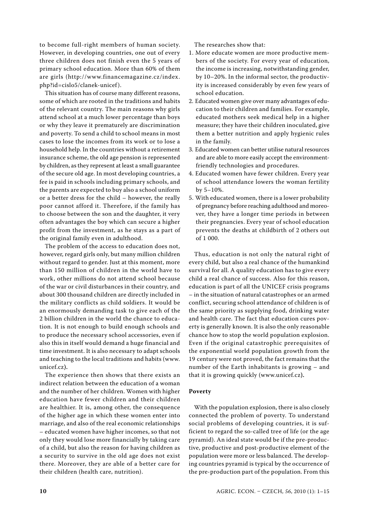to become full-right members of human society. However, in developing countries, one out of every three children does not finish even the 5 years of primary school education. More than 60% of them are girls (http://www.financemagazine.cz/index. php?id=cislo5/clanek-unicef ).

This situation has of course many different reasons, some of which are rooted in the traditions and habits of the relevant country. The main reasons why girls attend school at a much lower percentage than boys or why they leave it prematurely are discrimination and poverty. To send a child to school means in most cases to lose the incomes from its work or to lose a household help. In the countries without a retirement insurance scheme, the old age pension is represented by children, as they represent at least a small guarantee of the secure old age. In most developing countries, a fee is paid in schools including primary schools, and the parents are expected to buy also a school uniform or a better dress for the child – however, the really poor cannot afford it. Therefore, if the family has to choose between the son and the daughter, it very often advantages the boy which can secure a higher profit from the investment, as he stays as a part of the original family even in adulthood.

The problem of the access to education does not, however, regard girls only, but many million children without regard to gender. Just at this moment, more than 150 million of children in the world have to work, other millions do not attend school because of the war or civil disturbances in their country, and about 300 thousand children are directly included in the military conflicts as child soldiers. It would be an enormously demanding task to give each of the 2 billion children in the world the chance to education. It is not enough to build enough schools and to produce the necessary school accessories, even if also this in itself would demand a huge financial and time investment. It is also necessary to adapt schools and teaching to the local traditions and habits (www. unicef.cz).

The experience then shows that there exists an indirect relation between the education of a woman and the number of her children. Women with higher education have fewer children and their children are healthier. It is, among other, the consequence of the higher age in which these women enter into marriage, and also of the real economic relationships – educated women have higher incomes, so that not only they would lose more financially by taking care of a child, but also the reason for having children as a security to survive in the old age does not exist there. Moreover, they are able of a better care for their children (health care, nutrition).

The researches show that:

- 1. More educate women are more productive members of the society. For every year of education, the income is increasing, notwithstanding gender, by 10–20%. In the informal sector, the productivity is increased considerably by even few years of school education.
- 2. Educated women give over many advantages of education to their children and families. For example, educated mothers seek medical help in a higher measure; they have their children inoculated, give them a better nutrition and apply hygienic rules in the family.
- 3. Educated women can better utilise natural resources and are able to more easily accept the environmentfriendly technologies and procedures.
- 4. Educated women have fewer children. Every year of school attendance lowers the woman fertility by 5–10%.
- 5. With educated women, there is a lower probability of pregnancy before reaching adulthood and moreover, they have a longer time periods in between their pregnancies. Every year of school education prevents the deaths at childbirth of 2 others out of 1 000.

Thus, education is not only the natural right of every child, but also a real chance of the humankind survival for all. A quality education has to give every child a real chance of success. Also for this reason, education is part of all the UNICEF crisis programs – in the situation of natural catastrophes or an armed conflict, securing school attendance of children is of the same priority as supplying food, drinking water and health care. The fact that education cures poverty is generally known. It is also the only reasonable chance how to stop the world population explosion. Even if the original catastrophic prerequisites of the exponential world population growth from the 19 century were not proved, the fact remains that the number of the Earth inhabitants is growing – and that it is growing quickly (www.unicef.cz).

## **Poverty**

With the population explosion, there is also closely connected the problem of poverty. To understand social problems of developing countries, it is sufficient to regard the so-called tree of life (or the age pyramid). An ideal state would be if the pre-productive, productive and post-productive element of the population were more or less balanced. The developing countries pyramid is typical by the occurrence of the pre-production part of the population. From this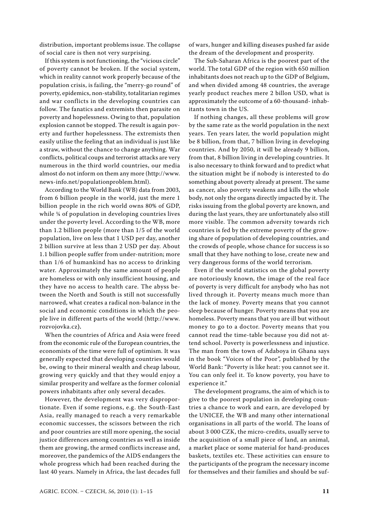distribution, important problems issue. The collapse of social care is then not very surprising.

If this system is not functioning, the "vicious circle" of poverty cannot be broken. If the social system, which in reality cannot work properly because of the population crisis, is failing, the "merry-go round" of poverty, epidemics, non-stability, totalitarian regimes and war conflicts in the developing countries can follow. The fanatics and extremists then parasite on poverty and hopelessness. Owing to that, population explosion cannot be stopped. The result is again poverty and further hopelessness. The extremists then easily utilise the feeling that an individual is just like a straw, without the chance to change anything. War conflicts, political coups and terrorist attacks are very numerous in the third world countries, our media almost do not inform on them any more (http://www. news-info.net/populationproblem.html).

According to the World Bank (WB) data from 2003, from 6 billion people in the world, just the mere 1 billion people in the rich world owns 80% of GDP, while ¼ of population in developing countries lives under the poverty level. According to the WB, more than 1.2 billion people (more than 1/5 of the world population, live on less that 1 USD per day, another 2 billion survive at less than 2 USD per day. About 1.1 billion people suffer from under-nutrition; more than 1/6 of humankind has no access to drinking water. Approximately the same amount of people are homeless or with only insufficient housing, and they have no access to health care. The abyss between the North and South is still not successfully narrowed, what creates a radical non-balance in the social and economic conditions in which the people live in different parts of the world (http://www. rozvojovka.cz).

When the countries of Africa and Asia were freed from the economic rule of the European countries, the economists of the time were full of optimism. It was generally expected that developing countries would be, owing to their mineral wealth and cheap labour, growing very quickly and that they would enjoy a similar prosperity and welfare as the former colonial powers inhabitants after only several decades.

However, the development was very disproportionate. Even if some regions, e.g. the South-East Asia, really managed to reach a very remarkable economic successes, the scissors between the rich and poor countries are still more opening, the social justice differences among countries as well as inside them are growing, the armed conflicts increase and, moreover, the pandemics of the AIDS endangers the whole progress which had been reached during the last 40 years. Namely in Africa, the last decades full

of wars, hunger and killing diseases pushed far aside the dream of the development and prosperity.

The Sub-Saharan Africa is the poorest part of the world. The total GDP of the region with 650 million inhabitants does not reach up to the GDP of Belgium, and when divided among 48 countries, the average yearly product reaches mere 2 billon USD, what is approximately the outcome of a 60-thousand- inhabitants town in the US.

If nothing changes, all these problems will grow by the same rate as the world population in the next years. Ten years later, the world population might be 8 billion, from that, 7 billion living in developing countries. And by 2050, it will be already 9 billion, from that, 8 billion living in developing countries. It is also necessary to think forward and to predict what the situation might be if nobody is interested to do something about poverty already at present. The same as cancer, also poverty weakens and kills the whole body, not only the organs directly impacted by it. The risks issuing from the global poverty are known, and during the last years, they are unfortunately also still more visible. The common adversity towards rich countries is fed by the extreme poverty of the growing share of population of developing countries, and the crowds of people, whose chance for success is so small that they have nothing to lose, create new and very dangerous forms of the world terrorism.

Even if the world statistics on the global poverty are notoriously known, the image of the real face of poverty is very difficult for anybody who has not lived through it. Poverty means much more than the lack of money. Poverty means that you cannot sleep because of hunger. Poverty means that you are homeless. Poverty means that you are ill but without money to go to a doctor. Poverty means that you cannot read the time-table because you did not attend school. Poverty is powerlessness and injustice. The man from the town of Adaboya in Ghana says in the book "Voices of the Poor", published by the World Bank: "Poverty is like heat: you cannot see it. You can only feel it. To know poverty, you have to experience it."

The development programs, the aim of which is to give to the poorest population in developing countries a chance to work and earn, are developed by the UNICEF, the WB and many other international organisations in all parts of the world. The loans of about 3 000 CZK, the micro-credits, usually serve to the acquisition of a small piece of land, an animal, a market place or some material for hand-produces baskets, textiles etc. These activities can ensure to the participants of the program the necessary income for themselves and their families and should be suf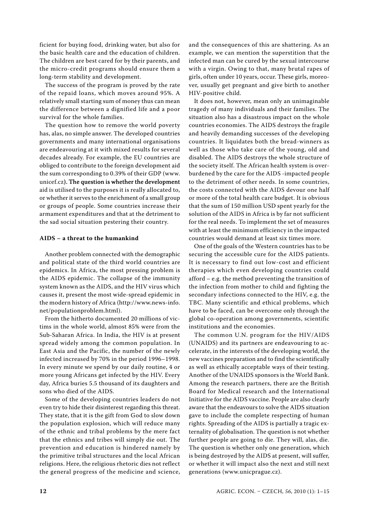ficient for buying food, drinking water, but also for the basic health care and the education of children. The children are best cared for by their parents, and the micro-credit programs should ensure them a long-term stability and development.

The success of the program is proved by the rate of the repaid loans, which moves around 95%. A relatively small starting sum of money thus can mean the difference between a dignified life and a poor survival for the whole families.

The question how to remove the world poverty has, alas, no simple answer. The developed countries governments and many international organisations are endeavouring at it with mixed results for several decades already. For example, the EU countries are obliged to contribute to the foreign development aid the sum corresponding to 0.39% of their GDP (www. unicef.cz). The question is whether the development aid is utilised to the purposes it is really allocated to, or whether it serves to the enrichment of a small group or groups of people. Some countries increase their armament expenditures and that at the detriment to the sad social situation pestering their country.

#### **AIDS – a threat to the humankind**

Another problem connected with the demographic and political state of the third world countries are epidemics. In Africa, the most pressing problem is the AIDS epidemic. The collapse of the immunity system known as the AIDS, and the HIV virus which causes it, present the most wide-spread epidemic in the modern history of Africa (http://www.news-info. net/populationproblem.html).

From the hitherto documented 20 millions of victims in the whole world, almost 85% were from the Sub-Saharan Africa. In India, the HIV is at present spread widely among the common population. In East Asia and the Pacific, the number of the newly infected increased by 70% in the period 1996–1998. In every minute we spend by our daily routine, 4 or more young Africans get infected by the HIV. Every day, Africa buries 5.5 thousand of its daughters and sons who died of the AIDS.

Some of the developing countries leaders do not even try to hide their disinterest regarding this threat. They state, that it is the gift from God to slow down the population explosion, which will reduce many of the ethnic and tribal problems by the mere fact that the ethnics and tribes will simply die out. The prevention and education is hindered namely by the primitive tribal structures and the local African religions. Here, the religious rhetoric dies not reflect the general progress of the medicine and science,

and the consequences of this are shattering. As an example, we can mention the superstition that the infected man can be cured by the sexual intercourse with a virgin. Owing to that, many brutal rapes of girls, often under 10 years, occur. These girls, moreover, usually get pregnant and give birth to another HIV-positive child.

It does not, however, mean only an unimaginable tragedy of many individuals and their families. The situation also has a disastrous impact on the whole countries economies. The AIDS destroys the fragile and heavily demanding successes of the developing countries. It liquidates both the bread-winners as well as those who take care of the young, old and disabled. The AIDS destroys the whole structure of the society itself. The African health system is overburdened by the care for the AIDS -impacted people to the detriment of other needs. In some countries, the costs connected with the AIDS devour one half or more of the total health care budget. It is obvious that the sum of 150 million USD spent yearly for the solution of the AIDS in Africa is by far not sufficient for the real needs. To implement the set of measures with at least the minimum efficiency in the impacted countries would demand at least six times more.

One of the goals of the Western countries has to be securing the accessible cure for the AIDS patients. It is necessary to find out low-cost and efficient therapies which even developing countries could afford – e.g. the method preventing the transition of the infection from mother to child and fighting the secondary infections connected to the HIV, e.g. the TBC. Many scientific and ethical problems, which have to be faced, can be overcome only through the global co-operation among governments, scientific institutions and the economies.

The common U.N. program for the HIV/AIDS (UNAIDS) and its partners are endeavouring to accelerate, in the interests of the developing world, the new vaccines preparation and to find the scientifically as well as ethically acceptable ways of their testing. Another of the UNAIDS sponsors is the World Bank. Among the research partners, there are the British Board for Medical research and the International Initiative for the AIDS vaccine. People are also clearly aware that the endeavours to solve the AIDS situation gave to include the complete respecting of human rights. Spreading of the AIDS is partially a tragic externality of globalisation. The question is not whether further people are going to die. They will, alas, die. The question is whether only one generation, which is being destroyed by the AIDS at present, will suffer, or whether it will impact also the next and still next generations (www.unicprague.cz).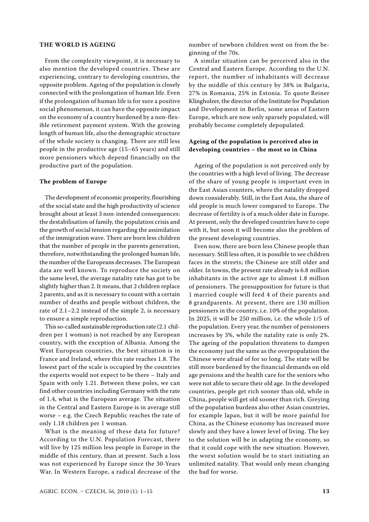## **The world is ageing**

From the complexity viewpoint, it is necessary to also mention the developed countries. These are experiencing, contrary to developing countries, the opposite problem. Ageing of the population is closely connected with the prolongation of human life. Even if the prolongation of human life is for sure a positive social phenomenon, it can have the opposite impact on the economy of a country burdened by a non-flexible retirement payment system. With the growing length of human life, also the demographic structure of the whole society is changing. There are still less people in the productive age (15–65 years) and still more pensioners which depend financially on the productive part of the population.

#### **The problem of Europe**

The development of economic prosperity, flourishing of the social state and the high productivity of science brought about at least 3 non-intended consequences: the destabilisation of family, the population crisis and the growth of social tension regarding the assimilation of the immigration wave. There are born less children that the number of people in the parents generation, therefore, notwithstanding the prolonged human life, the number of the Europeans decreases. The European data are well known. To reproduce the society on the same level, the average natality rate has got to be slightly higher than 2. It means, that 2 children replace 2 parents, and as it is necessary to count with a certain number of deaths and people without children, the rate of 2.1–2.2 instead of the simple 2, is necessary to ensure a simple reproduction.

This so-called sustainable reproduction rate (2.1 children per 1 woman) is not reached by any European country, with the exception of Albania. Among the West European countries, the best situation is in France and Ireland, where this rate reaches 1.8. The lowest part of the scale is occupied by the countries the experts would not expect to be there – Italy and Spain with only 1.21. Between these poles, we can find other countries including Germany with the rate of 1.4, what is the European average. The situation in the Central and Eastern Europe is in average still worse – e.g. the Czech Republic reaches the rate of only 1.18 children per 1 woman.

What is the meaning of these data for future? According to the U.N. Population Forecast, there will live by 125 million less people in Europe in the middle of this century, than at present. Such a loss was not experienced by Europe since the 30-Years War. In Western Europe, a radical decrease of the number of newborn children went on from the beginning of the 70s.

A similar situation can be perceived also in the Central and Eastern Europe. According to the U.N. report, the number of inhabitants will decrease by the middle of this century by 38% in Bulgaria, 27% in Romania, 25% in Estonia. To quote Reiner Klingholzer, the director of the Institute for Population and Development in Berlin, some areas of Eastern Europe, which are now only sparsely populated, will probably become completely depopulated.

## **Ageing of the population is perceived also in developing countries – the most so in China**

Ageing of the population is not perceived only by the countries with a high level of living. The decrease of the share of young people is important even in the East Asian counters, where the natality dropped down considerably. Still, in the East Asia, the share of old people is much lower compared to Europe. The decrease of fertility is of a much older date in Europe. At present, only the developed countries have to cope with it, but soon it will become also the problem of the present developing countries.

Even now, there are born less Chinese people than necessary. Still less often, it is possible to see children faces in the streets; the Chinese are still older and older. In towns, the present rate already is 6.8 million inhabitants in the active age to almost 1.8 million of pensioners. The presupposition for future is that 1 married couple will feed 4 of their parents and 8 grandparents. At present, there are 130 million pensioners in the country, i.e. 10% of the population. In 2025, it will be 250 million, i.e. the whole 1/5 of the population. Every year, the number of pensioners increases by 3%, while the natality rate is only 2%. The ageing of the population threatens to dampen the economy just the same as the overpopulation the Chinese were afraid of for so long. The state will be still more burdened by the financial demands on old age pensions and the health care for the seniors who were not able to secure their old age. In the developed countries, people get rich sooner than old, while in China, people will get old sooner than rich. Greying of the population burdens also other Asian countries, for example Japan, but it will be more painful for China, as the Chinese economy has increased more slowly and they have a lower level of living. The key to the solution will be in adapting the economy, so that it could cope with the new situation. However, the worst solution would be to start initiating an unlimited natality. That would only mean changing the bad for worse.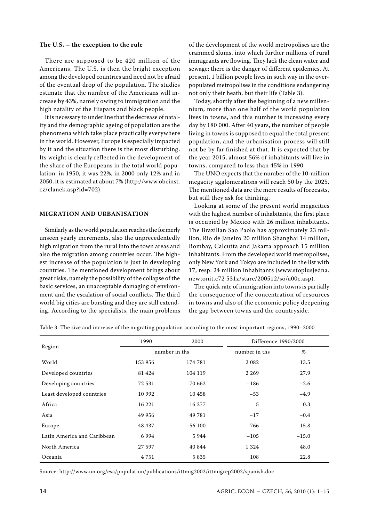#### **The U.S. – the exception to the rule**

There are supposed to be 420 million of the Americans. The U.S. is then the bright exception among the developed countries and need not be afraid of the eventual drop of the population. The studies estimate that the number of the Americans will increase by 43%, namely owing to immigration and the high natality of the Hispans and black people.

It is necessary to underline that the decrease of natality and the demographic ageing of population are the phenomena which take place practically everywhere in the world. However, Europe is especially impacted by it and the situation there is the most disturbing. Its weight is clearly reflected in the development of the share of the Europeans in the total world population: in 1950, it was 22%, in 2000 only 12% and in 2050, it is estimated at about 7% (http://www.obcinst. cz/clanek.asp?id=702).

## **Migration and urbanisation**

Similarly as the world population reaches the formerly unseen yearly increments, also the unprecedentedly high migration from the rural into the town areas and also the migration among countries occur. The highest increase of the population is just in developing countries. The mentioned development brings about great risks, namely the possibility of the collapse of the basic services, an unacceptable damaging of environment and the escalation of social conflicts. The third world big cities are bursting and they are still extending. According to the specialists, the main problems of the development of the world metropolises are the crammed slums, into which further millions of rural immigrants are flowing. They lack the clean water and sewage; there is the danger of different epidemics. At present, 1 billion people lives in such way in the overpopulated metropolises in the conditions endangering not only their heath, but their life (Table 3).

Today, shortly after the beginning of a new millennium, more than one half of the world population lives in towns, and this number is increasing every day by 180 000. After 40 years, the number of people living in towns is supposed to equal the total present population, and the urbanisation process will still not be by far finished at that. It is expected that by the year 2015, almost 56% of inhabitants will live in towns, compared to less than 45% in 1990.

The UNO expects that the number of the 10-million megacity agglomerations will reach 50 by the 2025. The mentioned data are the mere results of forecasts, but still they ask for thinking.

Looking at some of the present world megacities with the highest number of inhabitants, the first place is occupied by Mexico with 26 million inhabitants. The Brazilian Sao Paolo has approximately 23 million, Rio de Janeiro 20 million Shanghai 14 million, Bombay, Calcutta and Jakarta approach 15 million inhabitants. From the developed world metropolises, only New York and Tokyo are included in the list with 17, resp. 24 million inhabitants (www.stoplusjedna. newtonit.c72 531z/stare/200512/so/a00c.asp).

The quick rate of immigration into towns is partially the consequence of the concentration of resources in towns and also of the economic policy deepening the gap between towns and the countryside.

Table 3. The size and increase of the migrating population according to the most important regions, 1990–2000

| Region                      | 1990          | 2000    | Difference 1990/2000 |         |
|-----------------------------|---------------|---------|----------------------|---------|
|                             | number in ths |         | number in ths        | %       |
| World                       | 153 956       | 174 781 | 2082                 | 13.5    |
| Developed countries         | 81 424        | 104 119 | 2 2 6 9              | 27.9    |
| Developing countries        | 72 531        | 70 662  | $-186$               | $-2.6$  |
| Least developed countries   | 10 992        | 10458   | $-53$                | $-4.9$  |
| Africa                      | 16 221        | 16 277  | 5                    | 0.3     |
| Asia                        | 49 956        | 49 781  | $-17$                | $-0.4$  |
| Europe                      | 48 437        | 56 100  | 766                  | 15.8    |
| Latin America and Caribbean | 6994          | 5944    | $-105$               | $-15.0$ |
| North America               | 27 597        | 40 844  | 1 3 2 4              | 48.0    |
| Oceania                     | 4 7 5 1       | 5835    | 108                  | 22.8    |

Source: http://www.un.org/esa/population/publications/ittmig2002/ittmigrep2002/spanish.doc